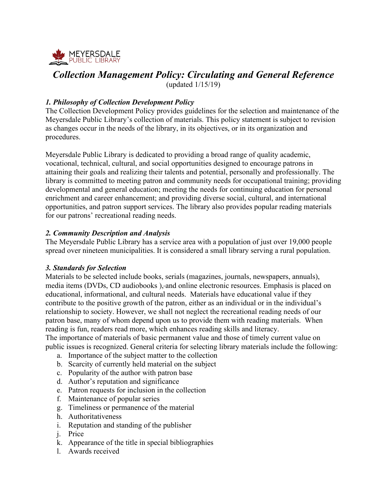

# *Collection Management Policy: Circulating and General Reference*

(updated 1/15/19)

## *1. Philosophy of Collection Development Policy*

The Collection Development Policy provides guidelines for the selection and maintenance of the Meyersdale Public Library's collection of materials. This policy statement is subject to revision as changes occur in the needs of the library, in its objectives, or in its organization and procedures.

Meyersdale Public Library is dedicated to providing a broad range of quality academic, vocational, technical, cultural, and social opportunities designed to encourage patrons in attaining their goals and realizing their talents and potential, personally and professionally. The library is committed to meeting patron and community needs for occupational training; providing developmental and general education; meeting the needs for continuing education for personal enrichment and career enhancement; and providing diverse social, cultural, and international opportunities, and patron support services. The library also provides popular reading materials for our patrons' recreational reading needs.

## *2. Community Description and Analysis*

The Meyersdale Public Library has a service area with a population of just over 19,000 people spread over nineteen municipalities. It is considered a small library serving a rural population.

#### *3. Standards for Selection*

Materials to be selected include books, serials (magazines, journals, newspapers, annuals), media items (DVDs, CD audiobooks ), and online electronic resources. Emphasis is placed on educational, informational, and cultural needs. Materials have educational value if they contribute to the positive growth of the patron, either as an individual or in the individual's relationship to society. However, we shall not neglect the recreational reading needs of our patron base, many of whom depend upon us to provide them with reading materials. When reading is fun, readers read more, which enhances reading skills and literacy.

The importance of materials of basic permanent value and those of timely current value on public issues is recognized. General criteria for selecting library materials include the following:

- a. Importance of the subject matter to the collection
- b. Scarcity of currently held material on the subject
- c. Popularity of the author with patron base
- d. Author's reputation and significance
- e. Patron requests for inclusion in the collection
- f. Maintenance of popular series
- g. Timeliness or permanence of the material
- h. Authoritativeness
- i. Reputation and standing of the publisher
- j. Price
- k. Appearance of the title in special bibliographies
- l. Awards received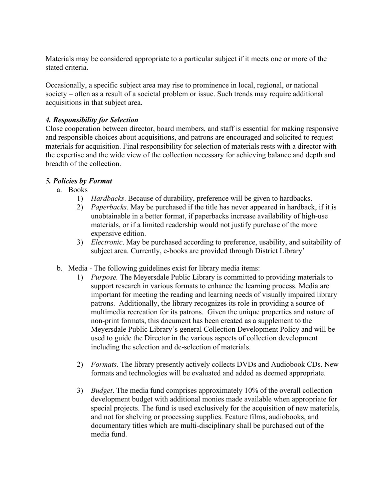Materials may be considered appropriate to a particular subject if it meets one or more of the stated criteria.

Occasionally, a specific subject area may rise to prominence in local, regional, or national society – often as a result of a societal problem or issue. Such trends may require additional acquisitions in that subject area.

### *4. Responsibility for Selection*

Close cooperation between director, board members, and staff is essential for making responsive and responsible choices about acquisitions, and patrons are encouraged and solicited to request materials for acquisition. Final responsibility for selection of materials rests with a director with the expertise and the wide view of the collection necessary for achieving balance and depth and breadth of the collection.

#### *5. Policies by Format*

- a. Books
	- 1) *Hardbacks*. Because of durability, preference will be given to hardbacks.
	- 2) *Paperbacks*. May be purchased if the title has never appeared in hardback, if it is unobtainable in a better format, if paperbacks increase availability of high-use materials, or if a limited readership would not justify purchase of the more expensive edition.
	- 3) *Electronic*. May be purchased according to preference, usability, and suitability of subject area. Currently, e-books are provided through District Library'
- b. Media The following guidelines exist for library media items:
	- 1) *Purpose.* The Meyersdale Public Library is committed to providing materials to support research in various formats to enhance the learning process. Media are important for meeting the reading and learning needs of visually impaired library patrons. Additionally, the library recognizes its role in providing a source of multimedia recreation for its patrons. Given the unique properties and nature of non-print formats, this document has been created as a supplement to the Meyersdale Public Library's general Collection Development Policy and will be used to guide the Director in the various aspects of collection development including the selection and de-selection of materials.
	- 2) *Formats*. The library presently actively collects DVDs and Audiobook CDs. New formats and technologies will be evaluated and added as deemed appropriate.
	- 3) *Budget*. The media fund comprises approximately 10% of the overall collection development budget with additional monies made available when appropriate for special projects. The fund is used exclusively for the acquisition of new materials, and not for shelving or processing supplies. Feature films, audiobooks, and documentary titles which are multi-disciplinary shall be purchased out of the media fund.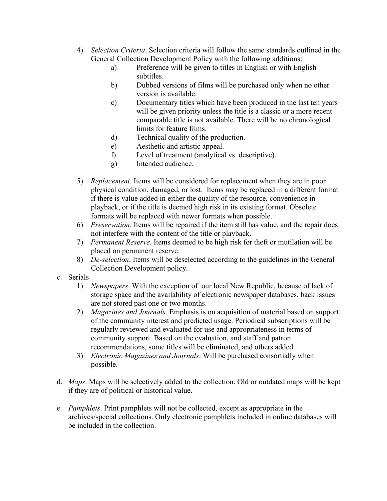- 4) *Selection Criteria*. Selection criteria will follow the same standards outlined in the General Collection Development Policy with the following additions:
	- a) Preference will be given to titles in English or with English subtitles.
	- b) Dubbed versions of films will be purchased only when no other version is available.
	- c) Documentary titles which have been produced in the last ten years will be given priority unless the title is a classic or a more recent comparable title is not available. There will be no chronological limits for feature films.
	- d) Technical quality of the production.
	- e) Aesthetic and artistic appeal.
	- f) Level of treatment (analytical vs. descriptive).
	- g) Intended audience.
- 5) *Replacement*. Items will be considered for replacement when they are in poor physical condition, damaged, or lost. Items may be replaced in a different format if there is value added in either the quality of the resource, convenience in playback, or if the title is deemed high risk in its existing format. Obsolete formats will be replaced with newer formats when possible.
- 6) *Preservation*. Items will be repaired if the item still has value, and the repair does not interfere with the content of the title or playback.
- 7) *Permanent Reserve*. Items deemed to be high risk for theft or mutilation will be placed on permanent reserve.
- 8) *De-selection*. Items will be deselected according to the guidelines in the General Collection Development policy.
- c. Serials
	- 1) *Newspapers*. With the exception of our local New Republic, because of lack of storage space and the availability of electronic newspaper databases, back issues are not stored past one or two months.
	- 2) *Magazines and Journals*. Emphasis is on acquisition of material based on support of the community interest and predicted usage. Periodical subscriptions will be regularly reviewed and evaluated for use and appropriateness in terms of community support. Based on the evaluation, and staff and patron recommendations, some titles will be eliminated, and others added.
	- 3) *Electronic Magazines and Journals*. Will be purchased consortially when possible.
- d. *Maps*. Maps will be selectively added to the collection. Old or outdated maps will be kept if they are of political or historical value.
- e. *Pamphlets*. Print pamphlets will not be collected, except as appropriate in the archives/special collections. Only electronic pamphlets included in online databases will be included in the collection.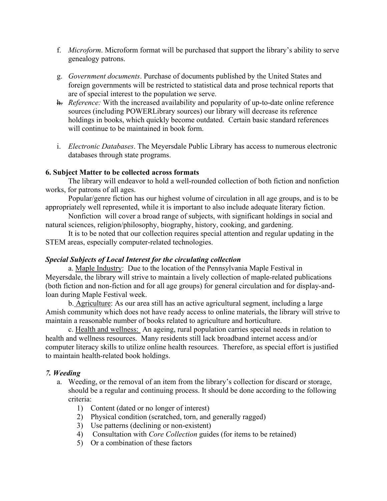- f. *Microform*. Microform format will be purchased that support the library's ability to serve genealogy patrons.
- g. *Government documents*. Purchase of documents published by the United States and foreign governments will be restricted to statistical data and prose technical reports that are of special interest to the population we serve.
- h. *Reference:* With the increased availability and popularity of up-to-date online reference sources (including POWERLibrary sources) our library will decrease its reference holdings in books, which quickly become outdated. Certain basic standard references will continue to be maintained in book form.
- i. *Electronic Databases*. The Meyersdale Public Library has access to numerous electronic databases through state programs.

#### **6. Subject Matter to be collected across formats**

The library will endeavor to hold a well-rounded collection of both fiction and nonfiction works, for patrons of all ages.

Popular/genre fiction has our highest volume of circulation in all age groups, and is to be appropriately well represented, while it is important to also include adequate literary fiction.

Nonfiction will cover a broad range of subjects, with significant holdings in social and natural sciences, religion/philosophy, biography, history, cooking, and gardening.

It is to be noted that our collection requires special attention and regular updating in the STEM areas, especially computer-related technologies.

## *Special Subjects of Local Interest for the circulating collection*

a. Maple Industry: Due to the location of the Pennsylvania Maple Festival in Meyersdale, the library will strive to maintain a lively collection of maple-related publications (both fiction and non-fiction and for all age groups) for general circulation and for display-andloan during Maple Festival week.

b. Agriculture: As our area still has an active agricultural segment, including a large Amish community which does not have ready access to online materials, the library will strive to maintain a reasonable number of books related to agriculture and horticulture.

c. Health and wellness: An ageing, rural population carries special needs in relation to health and wellness resources. Many residents still lack broadband internet access and/or computer literacy skills to utilize online health resources. Therefore, as special effort is justified to maintain health-related book holdings.

## *7. Weeding*

- a. Weeding, or the removal of an item from the library's collection for discard or storage, should be a regular and continuing process. It should be done according to the following criteria:
	- 1) Content (dated or no longer of interest)
	- 2) Physical condition (scratched, torn, and generally ragged)
	- 3) Use patterns (declining or non-existent)
	- 4) Consultation with *Core Collection* guides (for items to be retained)
	- 5) Or a combination of these factors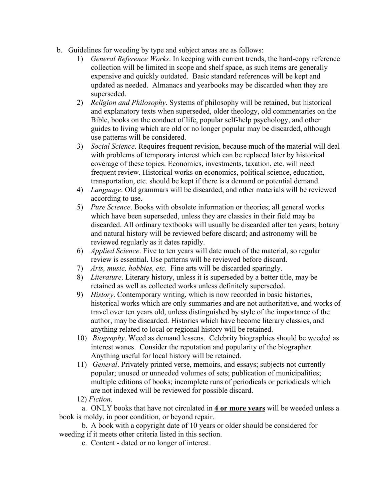- b. Guidelines for weeding by type and subject areas are as follows:
	- 1) *General Reference Works*. In keeping with current trends, the hard-copy reference collection will be limited in scope and shelf space, as such items are generally expensive and quickly outdated. Basic standard references will be kept and updated as needed. Almanacs and yearbooks may be discarded when they are superseded.
	- 2) *Religion and Philosophy*. Systems of philosophy will be retained, but historical and explanatory texts when superseded, older theology, old commentaries on the Bible, books on the conduct of life, popular self-help psychology, and other guides to living which are old or no longer popular may be discarded, although use patterns will be considered.
	- 3) *Social Science*. Requires frequent revision, because much of the material will deal with problems of temporary interest which can be replaced later by historical coverage of these topics. Economics, investments, taxation, etc. will need frequent review. Historical works on economics, political science, education, transportation, etc. should be kept if there is a demand or potential demand.
	- 4) *Language*. Old grammars will be discarded, and other materials will be reviewed according to use.
	- 5) *Pure Science*. Books with obsolete information or theories; all general works which have been superseded, unless they are classics in their field may be discarded. All ordinary textbooks will usually be discarded after ten years; botany and natural history will be reviewed before discard; and astronomy will be reviewed regularly as it dates rapidly.
	- 6) *Applied Science*. Five to ten years will date much of the material, so regular review is essential. Use patterns will be reviewed before discard.
	- 7) *Arts, music, hobbies, etc.* Fine arts will be discarded sparingly.
	- 8) *Literature*. Literary history, unless it is superseded by a better title, may be retained as well as collected works unless definitely superseded.
	- 9) *History*. Contemporary writing, which is now recorded in basic histories, historical works which are only summaries and are not authoritative, and works of travel over ten years old, unless distinguished by style of the importance of the author, may be discarded. Histories which have become literary classics, and anything related to local or regional history will be retained.
	- 10) *Biography*. Weed as demand lessens. Celebrity biographies should be weeded as interest wanes. Consider the reputation and popularity of the biographer. Anything useful for local history will be retained.
	- 11) *General*. Privately printed verse, memoirs, and essays; subjects not currently popular; unused or unneeded volumes of sets; publication of municipalities; multiple editions of books; incomplete runs of periodicals or periodicals which are not indexed will be reviewed for possible discard.
	- 12) *Fiction*.

a. ONLY books that have not circulated in **4 or more years** will be weeded unless a book is moldy, in poor condition, or beyond repair.

b. A book with a copyright date of 10 years or older should be considered for weeding if it meets other criteria listed in this section.

c. Content - dated or no longer of interest.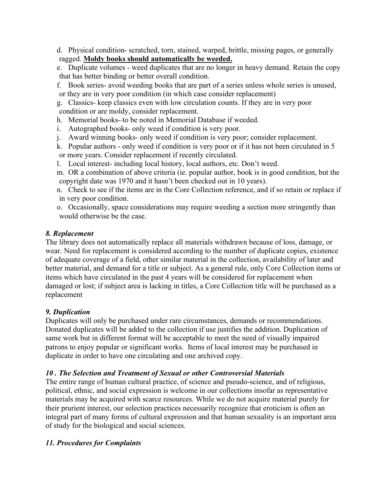d. Physical condition- scratched, torn, stained, warped, brittle, missing pages, or generally ragged. **Moldy books should automatically be weeded.** 

e. Duplicate volumes - weed duplicates that are no longer in heavy demand. Retain the copy that has better binding or better overall condition.

f. Book series- avoid weeding books that are part of a series unless whole series is unused, or they are in very poor condition (in which case consider replacement)

g. Classics- keep classics even with low circulation counts. If they are in very poor condition or are moldy, consider replacement.

h. Memorial books--to be noted in Memorial Database if weeded.

- i. Autographed books- only weed if condition is very poor.
- j. Award winning books- only weed if condition is very poor; consider replacement.
- k. Popular authors only weed if condition is very poor or if it has not been circulated in 5 or more years. Consider replacement if recently circulated.
- l. Local interest- including local history, local authors, etc. Don't weed.
- m. OR a combination of above criteria (ie. popular author, book is in good condition, but the copyright date was 1970 and it hasn't been checked out in 10 years).

n. Check to see if the items are in the Core Collection reference, and if so retain or replace if in very poor condition.

o. Occasionally, space considerations may require weeding a section more stringently than would otherwise be the case.

## *8. Replacement*

The library does not automatically replace all materials withdrawn because of loss, damage, or wear. Need for replacement is considered according to the number of duplicate copies, existence of adequate coverage of a field, other similar material in the collection, availability of later and better material, and demand for a title or subject. As a general rule, only Core Collection items or items which have circulated in the past 4 years will be considered for replacement when damaged or lost; if subject area is lacking in titles, a Core Collection title will be purchased as a replacement

## *9. Duplication*

Duplicates will only be purchased under rare circumstances, demands or recommendations. Donated duplicates will be added to the collection if use justifies the addition. Duplication of same work but in different format will be acceptable to meet the need of visually impaired patrons to enjoy popular or significant works. Items of local interest may be purchased in duplicate in order to have one circulating and one archived copy.

## *10 . The Selection and Treatment of Sexual or other Controversial Materials*

The entire range of human cultural practice, of science and pseudo-science, and of religious, political, ethnic, and social expression is welcome in our collections insofar as representative materials may be acquired with scarce resources. While we do not acquire material purely for their prurient interest, our selection practices necessarily recognize that eroticism is often an integral part of many forms of cultural expression and that human sexuality is an important area of study for the biological and social sciences.

## *11. Procedures for Complaints*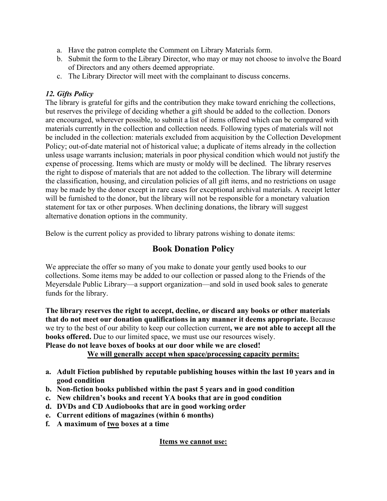- a. Have the patron complete the Comment on Library Materials form.
- b. Submit the form to the Library Director, who may or may not choose to involve the Board of Directors and any others deemed appropriate.
- c. The Library Director will meet with the complainant to discuss concerns.

## *12. Gifts Policy*

The library is grateful for gifts and the contribution they make toward enriching the collections, but reserves the privilege of deciding whether a gift should be added to the collection. Donors are encouraged, wherever possible, to submit a list of items offered which can be compared with materials currently in the collection and collection needs. Following types of materials will not be included in the collection: materials excluded from acquisition by the Collection Development Policy; out-of-date material not of historical value; a duplicate of items already in the collection unless usage warrants inclusion; materials in poor physical condition which would not justify the expense of processing. Items which are musty or moldy will be declined. The library reserves the right to dispose of materials that are not added to the collection. The library will determine the classification, housing, and circulation policies of all gift items, and no restrictions on usage may be made by the donor except in rare cases for exceptional archival materials. A receipt letter will be furnished to the donor, but the library will not be responsible for a monetary valuation statement for tax or other purposes. When declining donations, the library will suggest alternative donation options in the community.

Below is the current policy as provided to library patrons wishing to donate items:

## **Book Donation Policy**

We appreciate the offer so many of you make to donate your gently used books to our collections. Some items may be added to our collection or passed along to the Friends of the Meyersdale Public Library—a support organization—and sold in used book sales to generate funds for the library.

**The library reserves the right to accept, decline, or discard any books or other materials that do not meet our donation qualifications in any manner it deems appropriate.** Because we try to the best of our ability to keep our collection current**, we are not able to accept all the books offered.** Due to our limited space, we must use our resources wisely.

**Please do not leave boxes of books at our door while we are closed!**

## **We will generally accept when space/processing capacity permits:**

- **a. Adult Fiction published by reputable publishing houses within the last 10 years and in good condition**
- **b. Non-fiction books published within the past 5 years and in good condition**
- **c. New children's books and recent YA books that are in good condition**
- **d. DVDs and CD Audiobooks that are in good working order**
- **e. Current editions of magazines (within 6 months)**
- **f. A maximum of two boxes at a time**

## **Items we cannot use:**